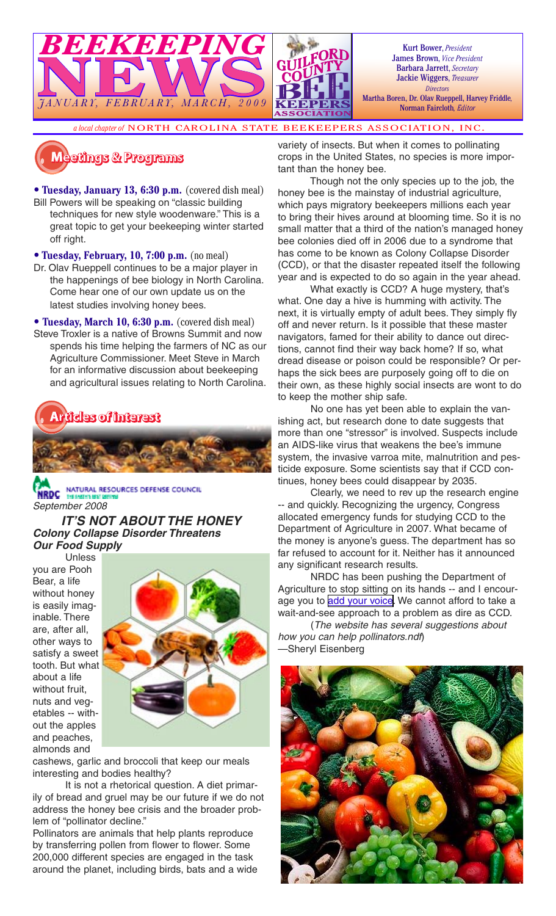

Kurt Bower, *President* James Brown, *Vice President* Barbara Jarrett, *Secretary* Jackie Wiggers, *Treasurer Directors* Martha Boren, Dr. Olav Rueppell, Harvey Friddle*,* 

Norman Faircloth*, Editor*

*a local chapter of* NORTH CAROLINA STATE BEEKEEPERS ASSOCIATION, INC.

**�������� � ��������**

• **Tuesday, January 13, 6:30 p.m.** (covered dish meal) Bill Powers will be speaking on "classic building techniques for new style woodenware." This is a great topic to get your beekeeping winter started off right.

• **Tuesday, February, 10, 7:00 p.m.** (no meal)

- Dr. Olav Rueppell continues to be a major player in the happenings of bee biology in North Carolina. Come hear one of our own update us on the latest studies involving honey bees.
- **Tuesday, March 10, 6:30 p.m.** (covered dish meal) Steve Troxler is a native of Browns Summit and now spends his time helping the farmers of NC as our Agriculture Commissioner. Meet Steve in March for an informative discussion about beekeeping and agricultural issues relating to North Carolina.



NATURAL RESOURCES DEFENSE COUNCIL September 2008

**IT'S NOT ABOUT THE HONEY Colony Collapse Disorder Threatens Our Food Supply**

Unless you are Pooh Bear, a life without honey is easily imaginable. There are, after all, other ways to satisfy a sweet tooth. But what about a life without fruit, nuts and vegetables -- without the apples and peaches, almonds and



cashews, garlic and broccoli that keep our meals interesting and bodies healthy?

It is not a rhetorical question. A diet primarily of bread and gruel may be our future if we do not address the honey bee crisis and the broader problem of "pollinator decline."

Pollinators are animals that help plants reproduce by transferring pollen from flower to flower. Some 200,000 different species are engaged in the task around the planet, including birds, bats and a wide variety of insects. But when it comes to pollinating crops in the United States, no species is more important than the honey bee.

Though not the only species up to the job, the honey bee is the mainstay of industrial agriculture, which pays migratory beekeepers millions each year to bring their hives around at blooming time. So it is no small matter that a third of the nation's managed honey bee colonies died off in 2006 due to a syndrome that has come to be known as Colony Collapse Disorder (CCD), or that the disaster repeated itself the following year and is expected to do so again in the year ahead.

What exactly is CCD? A huge mystery, that's what. One day a hive is humming with activity. The next, it is virtually empty of adult bees. They simply fly off and never return. Is it possible that these master navigators, famed for their ability to dance out directions, cannot find their way back home? If so, what dread disease or poison could be responsible? Or perhaps the sick bees are purposely going off to die on their own, as these highly social insects are wont to do to keep the mother ship safe.

No one has yet been able to explain the vanishing act, but research done to date suggests that more than one "stressor" is involved. Suspects include an AIDS-like virus that weakens the bee's immune system, the invasive varroa mite, malnutrition and pesticide exposure. Some scientists say that if CCD continues, honey bees could disappear by 2035.

Clearly, we need to rev up the research engine -- and quickly. Recognizing the urgency, Congress allocated emergency funds for studying CCD to the Department of Agriculture in 2007. What became of the money is anyone's guess. The department has so far refused to account for it. Neither has it announced any significant research results.

NRDC has been pushing the Department of Agriculture to stop sitting on its hands -- and I encourage you to [add your voice.](http://www.nrdconline.org/campaign/nrdcaction_072408) We cannot afford to take a wait-and-see approach to a problem as dire as CCD.

(The website has several suggestions about how you can help pollinators.ndf) —Sheryl Eisenberg

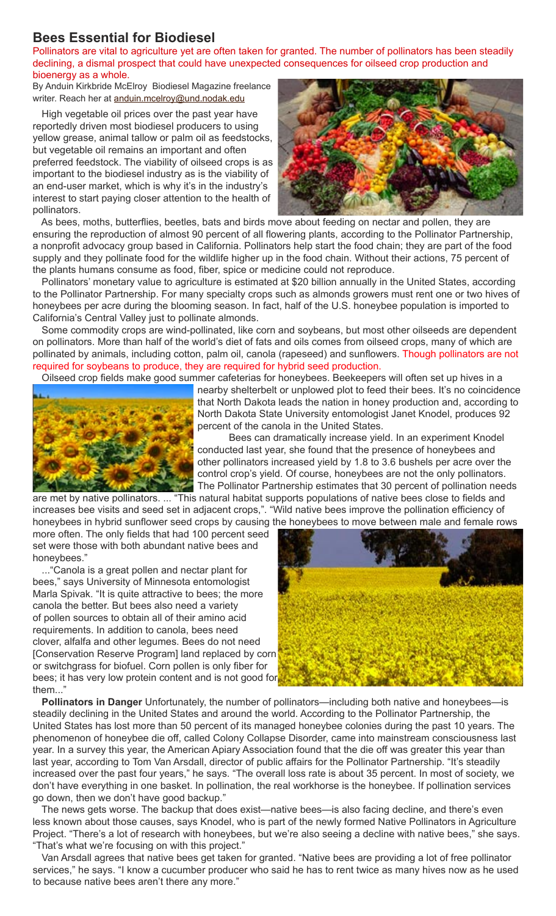# **Bees Essential for Biodiesel**

Pollinators are vital to agriculture yet are often taken for granted. The number of pollinators has been steadily declining, a dismal prospect that could have unexpected consequences for oilseed crop production and bioenergy as a whole.

By Anduin Kirkbride McElroy Biodiesel Magazine freelance writer. Reach her at anduin.mcelroy@und.nodak.edu

High vegetable oil prices over the past year have reportedly driven most biodiesel producers to using yellow grease, animal tallow or palm oil as feedstocks, but vegetable oil remains an important and often preferred feedstock. The viability of oilseed crops is as important to the biodiesel industry as is the viability of an end-user market, which is why it's in the industry's interest to start paying closer attention to the health of pollinators.



As bees, moths, butterflies, beetles, bats and birds move about feeding on nectar and pollen, they are ensuring the reproduction of almost 90 percent of all flowering plants, according to the Pollinator Partnership, a nonprofit advocacy group based in California. Pollinators help start the food chain; they are part of the food supply and they pollinate food for the wildlife higher up in the food chain. Without their actions, 75 percent of the plants humans consume as food, fiber, spice or medicine could not reproduce.

Pollinators' monetary value to agriculture is estimated at \$20 billion annually in the United States, according to the Pollinator Partnership. For many specialty crops such as almonds growers must rent one or two hives of honeybees per acre during the blooming season. In fact, half of the U.S. honeybee population is imported to California's Central Valley just to pollinate almonds.

Some commodity crops are wind-pollinated, like corn and soybeans, but most other oilseeds are dependent on pollinators. More than half of the world's diet of fats and oils comes from oilseed crops, many of which are pollinated by animals, including cotton, palm oil, canola (rapeseed) and sunflowers. Though pollinators are not required for soybeans to produce, they are required for hybrid seed production.

Oilseed crop fields make good summer cafeterias for honeybees. Beekeepers will often set up hives in a



nearby shelterbelt or unplowed plot to feed their bees. It's no coincidence that North Dakota leads the nation in honey production and, according to North Dakota State University entomologist Janet Knodel, produces 92 percent of the canola in the United States.

Bees can dramatically increase yield. In an experiment Knodel conducted last year, she found that the presence of honeybees and other pollinators increased yield by 1.8 to 3.6 bushels per acre over the control crop's yield. Of course, honeybees are not the only pollinators. The Pollinator Partnership estimates that 30 percent of pollination needs

are met by native pollinators. ... "This natural habitat supports populations of native bees close to fields and increases bee visits and seed set in adjacent crops,". "Wild native bees improve the pollination efficiency of honeybees in hybrid sunflower seed crops by causing the honeybees to move between male and female rows

more often. The only fields that had 100 percent seed set were those with both abundant native bees and honeybees."

..."Canola is a great pollen and nectar plant for bees," says University of Minnesota entomologist Marla Spivak. "It is quite attractive to bees; the more canola the better. But bees also need a variety of pollen sources to obtain all of their amino acid requirements. In addition to canola, bees need clover, alfalfa and other legumes. Bees do not need [Conservation Reserve Program] land replaced by corn or switchgrass for biofuel. Corn pollen is only fiber for bees; it has very low protein content and is not good for them..."



**Pollinators in Danger** Unfortunately, the number of pollinators—including both native and honeybees—is steadily declining in the United States and around the world. According to the Pollinator Partnership, the United States has lost more than 50 percent of its managed honeybee colonies during the past 10 years. The phenomenon of honeybee die off, called Colony Collapse Disorder, came into mainstream consciousness last year. In a survey this year, the American Apiary Association found that the die off was greater this year than last year, according to Tom Van Arsdall, director of public affairs for the Pollinator Partnership. "It's steadily increased over the past four years," he says. "The overall loss rate is about 35 percent. In most of society, we don't have everything in one basket. In pollination, the real workhorse is the honeybee. If pollination services go down, then we don't have good backup."

The news gets worse. The backup that does exist—native bees—is also facing decline, and there's even less known about those causes, says Knodel, who is part of the newly formed Native Pollinators in Agriculture Project. "There's a lot of research with honeybees, but we're also seeing a decline with native bees," she says. "That's what we're focusing on with this project."

Van Arsdall agrees that native bees get taken for granted. "Native bees are providing a lot of free pollinator services," he says. "I know a cucumber producer who said he has to rent twice as many hives now as he used to because native bees aren't there any more."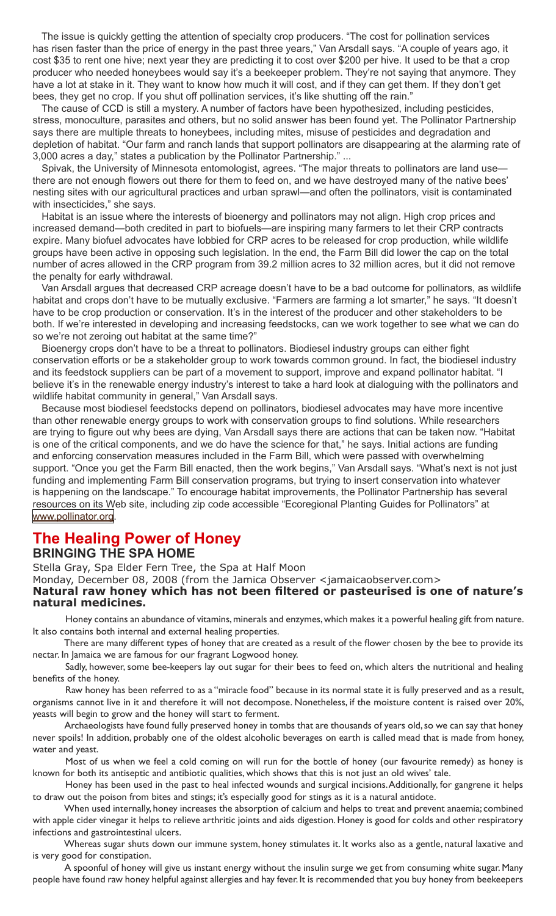The issue is quickly getting the attention of specialty crop producers. "The cost for pollination services has risen faster than the price of energy in the past three years," Van Arsdall says. "A couple of years ago, it cost \$35 to rent one hive; next year they are predicting it to cost over \$200 per hive. It used to be that a crop producer who needed honeybees would say it's a beekeeper problem. They're not saying that anymore. They have a lot at stake in it. They want to know how much it will cost, and if they can get them. If they don't get bees, they get no crop. If you shut off pollination services, it's like shutting off the rain."

The cause of CCD is still a mystery. A number of factors have been hypothesized, including pesticides, stress, monoculture, parasites and others, but no solid answer has been found yet. The Pollinator Partnership says there are multiple threats to honeybees, including mites, misuse of pesticides and degradation and depletion of habitat. "Our farm and ranch lands that support pollinators are disappearing at the alarming rate of 3,000 acres a day," states a publication by the Pollinator Partnership." ...

Spivak, the University of Minnesota entomologist, agrees. "The major threats to pollinators are land use there are not enough flowers out there for them to feed on, and we have destroyed many of the native bees' nesting sites with our agricultural practices and urban sprawl—and often the pollinators, visit is contaminated with insecticides," she says.

Habitat is an issue where the interests of bioenergy and pollinators may not align. High crop prices and increased demand—both credited in part to biofuels—are inspiring many farmers to let their CRP contracts expire. Many biofuel advocates have lobbied for CRP acres to be released for crop production, while wildlife groups have been active in opposing such legislation. In the end, the Farm Bill did lower the cap on the total number of acres allowed in the CRP program from 39.2 million acres to 32 million acres, but it did not remove the penalty for early withdrawal.

Van Arsdall argues that decreased CRP acreage doesn't have to be a bad outcome for pollinators, as wildlife habitat and crops don't have to be mutually exclusive. "Farmers are farming a lot smarter," he says. "It doesn't have to be crop production or conservation. It's in the interest of the producer and other stakeholders to be both. If we're interested in developing and increasing feedstocks, can we work together to see what we can do so we're not zeroing out habitat at the same time?"

Bioenergy crops don't have to be a threat to pollinators. Biodiesel industry groups can either fight conservation efforts or be a stakeholder group to work towards common ground. In fact, the biodiesel industry and its feedstock suppliers can be part of a movement to support, improve and expand pollinator habitat. "I believe it's in the renewable energy industry's interest to take a hard look at dialoguing with the pollinators and wildlife habitat community in general," Van Arsdall says.

Because most biodiesel feedstocks depend on pollinators, biodiesel advocates may have more incentive than other renewable energy groups to work with conservation groups to find solutions. While researchers are trying to figure out why bees are dying, Van Arsdall says there are actions that can be taken now. "Habitat is one of the critical components, and we do have the science for that," he says. Initial actions are funding and enforcing conservation measures included in the Farm Bill, which were passed with overwhelming support. "Once you get the Farm Bill enacted, then the work begins," Van Arsdall says. "What's next is not just funding and implementing Farm Bill conservation programs, but trying to insert conservation into whatever is happening on the landscape." To encourage habitat improvements, the Pollinator Partnership has several resources on its Web site, including zip code accessible "Ecoregional Planting Guides for Pollinators" at [www.pollinator.org](http://www.pollinator.org/).

## **The Healing Power of Honey BRINGING THE SPA HOME**

Stella Gray, Spa Elder Fern Tree, the Spa at Half Moon

Monday, December 08, 2008 (from the Jamica Observer <jamaicaobserver.com>

#### **Natural raw honey which has not been filtered or pasteurised is one of nature's natural medicines.**

Honey contains an abundance of vitamins, minerals and enzymes, which makes it a powerful healing gift from nature. It also contains both internal and external healing properties.

There are many different types of honey that are created as a result of the flower chosen by the bee to provide its nectar. In Jamaica we are famous for our fragrant Logwood honey.

Sadly, however, some bee-keepers lay out sugar for their bees to feed on, which alters the nutritional and healing benefits of the honey.

Raw honey has been referred to as a "miracle food" because in its normal state it is fully preserved and as a result, organisms cannot live in it and therefore it will not decompose. Nonetheless, if the moisture content is raised over 20%, yeasts will begin to grow and the honey will start to ferment.

Archaeologists have found fully preserved honey in tombs that are thousands of years old, so we can say that honey never spoils! In addition, probably one of the oldest alcoholic beverages on earth is called mead that is made from honey, water and yeast.

Most of us when we feel a cold coming on will run for the bottle of honey (our favourite remedy) as honey is known for both its antiseptic and antibiotic qualities, which shows that this is not just an old wives' tale.

Honey has been used in the past to heal infected wounds and surgical incisions. Additionally, for gangrene it helps to draw out the poison from bites and stings; it's especially good for stings as it is a natural antidote.

When used internally, honey increases the absorption of calcium and helps to treat and prevent anaemia; combined with apple cider vinegar it helps to relieve arthritic joints and aids digestion. Honey is good for colds and other respiratory infections and gastrointestinal ulcers.

Whereas sugar shuts down our immune system, honey stimulates it. It works also as a gentle, natural laxative and is very good for constipation.

A spoonful of honey will give us instant energy without the insulin surge we get from consuming white sugar. Many people have found raw honey helpful against allergies and hay fever. It is recommended that you buy honey from beekeepers